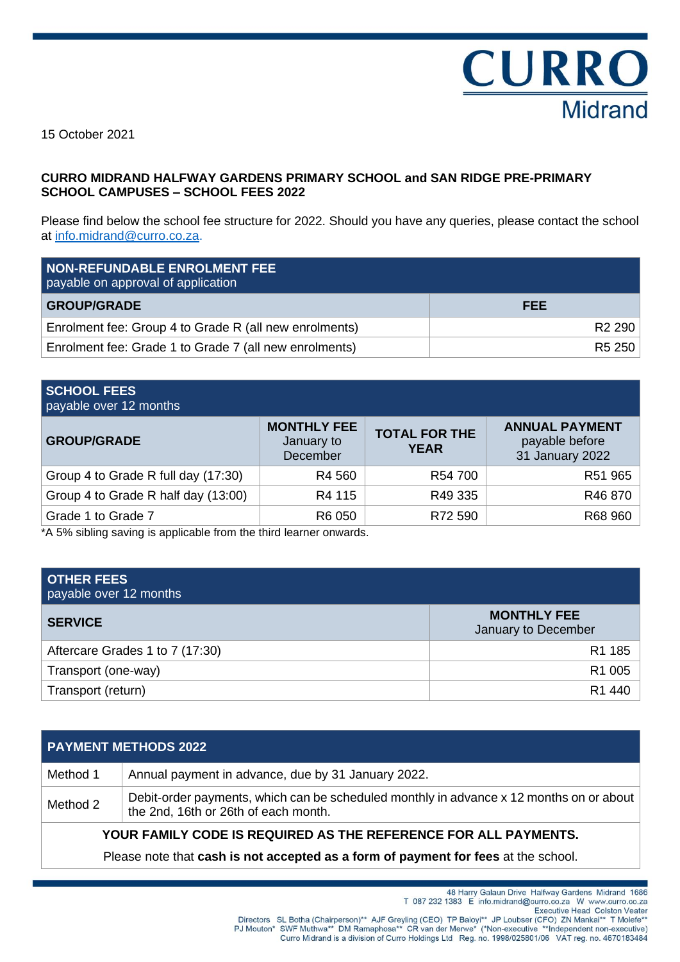

15 October 2021

## **CURRO MIDRAND HALFWAY GARDENS PRIMARY SCHOOL and SAN RIDGE PRE-PRIMARY SCHOOL CAMPUSES – SCHOOL FEES 2022**

Please find below the school fee structure for 2022. Should you have any queries, please contact the school at [info.midrand@curro.co.za.](mailto:info.midrand@curro.co.za)

| <b>NON-REFUNDABLE ENROLMENT FEE</b><br>payable on approval of application |                    |
|---------------------------------------------------------------------------|--------------------|
| <b>GROUP/GRADE</b>                                                        | <b>FEE</b>         |
| Enrolment fee: Group 4 to Grade R (all new enrolments)                    | R <sub>2</sub> 290 |
| Enrolment fee: Grade 1 to Grade 7 (all new enrolments)                    | R5 250             |

| <b>SCHOOL FEES</b><br>payable over 12 months |                                              |                                     |                                                            |
|----------------------------------------------|----------------------------------------------|-------------------------------------|------------------------------------------------------------|
| <b>GROUP/GRADE</b>                           | <b>MONTHLY FEE</b><br>January to<br>December | <b>TOTAL FOR THE</b><br><b>YEAR</b> | <b>ANNUAL PAYMENT</b><br>payable before<br>31 January 2022 |
| Group 4 to Grade R full day (17:30)          | R4 560                                       | R54 700                             | R51 965                                                    |
| Group 4 to Grade R half day (13:00)          | R4 115                                       | R49 335                             | R46870                                                     |
| Grade 1 to Grade 7                           | R6 050                                       | R72 590                             | R68 960                                                    |

\*A 5% sibling saving is applicable from the third learner onwards.

| <b>OTHER FEES</b><br>payable over 12 months |                                           |
|---------------------------------------------|-------------------------------------------|
| <b>SERVICE</b>                              | <b>MONTHLY FEE</b><br>January to December |
| Aftercare Grades 1 to 7 (17:30)             | R1 185                                    |
| Transport (one-way)                         | R1 005                                    |
| Transport (return)                          | R1 440                                    |

| <b>PAYMENT METHODS 2022</b>                                                        |                                                                                                                                 |  |  |
|------------------------------------------------------------------------------------|---------------------------------------------------------------------------------------------------------------------------------|--|--|
| Method 1                                                                           | Annual payment in advance, due by 31 January 2022.                                                                              |  |  |
| Method 2                                                                           | Debit-order payments, which can be scheduled monthly in advance x 12 months on or about<br>the 2nd, 16th or 26th of each month. |  |  |
| YOUR FAMILY CODE IS REQUIRED AS THE REFERENCE FOR ALL PAYMENTS.                    |                                                                                                                                 |  |  |
| Please note that cash is not accepted as a form of payment for fees at the school. |                                                                                                                                 |  |  |